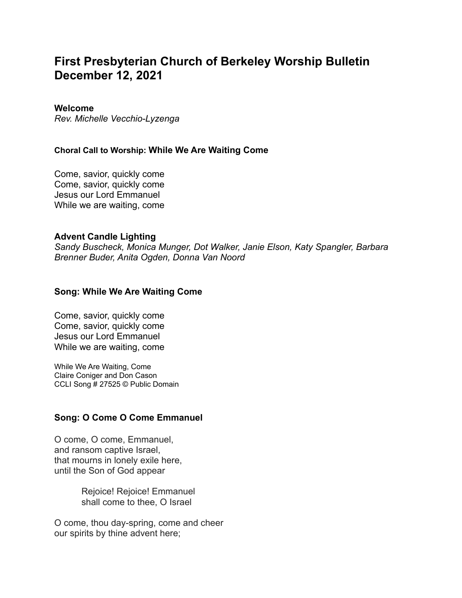# **First Presbyterian Church of Berkeley Worship Bulletin December 12, 2021**

#### **Welcome**

*Rev. Michelle Vecchio-Lyzenga*

#### **Choral Call to Worship: While We Are Waiting Come**

Come, savior, quickly come Come, savior, quickly come Jesus our Lord Emmanuel While we are waiting, come

#### **Advent Candle Lighting**

*Sandy Buscheck, Monica Munger, Dot Walker, Janie Elson, Katy Spangler, Barbara Brenner Buder, Anita Ogden, Donna Van Noord*

#### **Song: While We Are Waiting Come**

Come, savior, quickly come Come, savior, quickly come Jesus our Lord Emmanuel While we are waiting, come

While We Are Waiting, Come Claire Coniger and Don Cason CCLI Song # 27525 © Public Domain

## **Song: O Come O Come Emmanuel**

O come, O come, Emmanuel, and ransom captive Israel, that mourns in lonely exile here, until the Son of God appear

> Rejoice! Rejoice! Emmanuel shall come to thee, O Israel

O come, thou day-spring, come and cheer our spirits by thine advent here;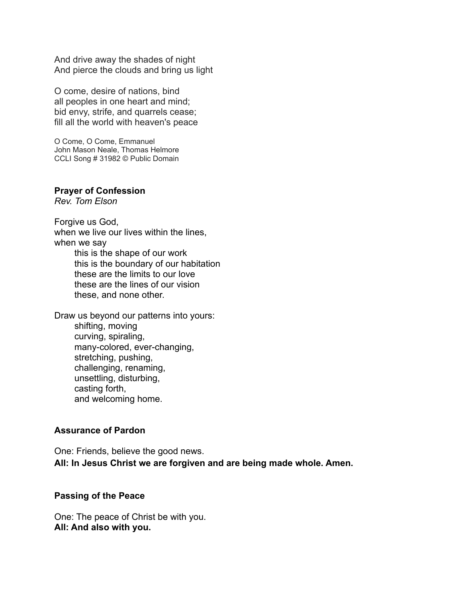And drive away the shades of night And pierce the clouds and bring us light

O come, desire of nations, bind all peoples in one heart and mind; bid envy, strife, and quarrels cease; fill all the world with heaven's peace

O Come, O Come, Emmanuel John Mason Neale, Thomas Helmore CCLI Song # 31982 © Public Domain

#### **Prayer of Confession**

*Rev. Tom Elson*

Forgive us God, when we live our lives within the lines, when we say this is the shape of our work this is the boundary of our habitation these are the limits to our love these are the lines of our vision these, and none other.

Draw us beyond our patterns into yours: shifting, moving curving, spiraling, many-colored, ever-changing, stretching, pushing, challenging, renaming, unsettling, disturbing, casting forth, and welcoming home.

## **Assurance of Pardon**

One: Friends, believe the good news. **All: In Jesus Christ we are forgiven and are being made whole. Amen.**

#### **Passing of the Peace**

One: The peace of Christ be with you. **All: And also with you.**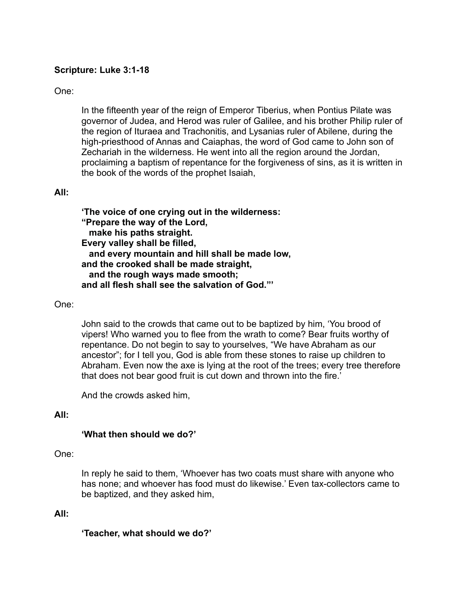# **Scripture: Luke 3:1-18**

# One:

In the fifteenth year of the reign of Emperor Tiberius, when Pontius Pilate was governor of Judea, and Herod was ruler of Galilee, and his brother Philip ruler of the region of Ituraea and Trachonitis, and Lysanias ruler of Abilene, during the high-priesthood of Annas and Caiaphas, the word of God came to John son of Zechariah in the wilderness. He went into all the region around the Jordan, proclaiming a baptism of repentance for the forgiveness of sins, as it is written in the book of the words of the prophet Isaiah,

## **All:**

**'The voice of one crying out in the wilderness: "Prepare the way of the Lord, make his paths straight. Every valley shall be filled, and every mountain and hill shall be made low, and the crooked shall be made straight, and the rough ways made smooth; and all flesh shall see the salvation of God."'**

## One:

John said to the crowds that came out to be baptized by him, 'You brood of vipers! Who warned you to flee from the wrath to come? Bear fruits worthy of repentance. Do not begin to say to yourselves, "We have Abraham as our ancestor"; for I tell you, God is able from these stones to raise up children to Abraham. Even now the axe is lying at the root of the trees; every tree therefore that does not bear good fruit is cut down and thrown into the fire.'

And the crowds asked him,

## **All:**

## **'What then should we do?'**

## One:

In reply he said to them, 'Whoever has two coats must share with anyone who has none; and whoever has food must do likewise.' Even tax-collectors came to be baptized, and they asked him,

## **All:**

**'Teacher, what should we do?'**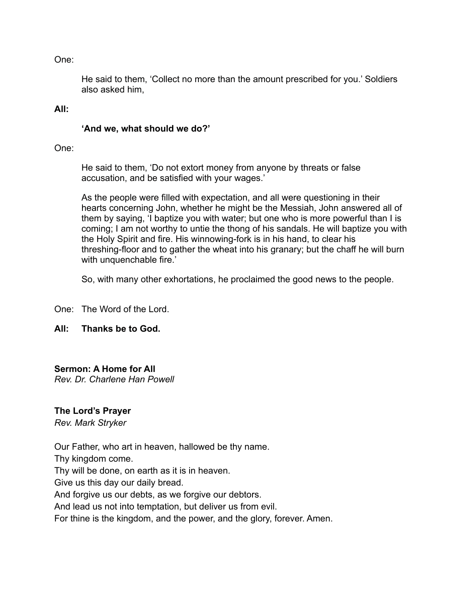One:

He said to them, 'Collect no more than the amount prescribed for you.' Soldiers also asked him,

#### **All:**

#### **'And we, what should we do?'**

One:

He said to them, 'Do not extort money from anyone by threats or false accusation, and be satisfied with your wages.'

As the people were filled with expectation, and all were questioning in their hearts concerning John, whether he might be the Messiah, John answered all of them by saying, 'I baptize you with water; but one who is more powerful than I is coming; I am not worthy to untie the thong of his sandals. He will baptize you with the Holy Spirit and fire. His winnowing-fork is in his hand, to clear his threshing-floor and to gather the wheat into his granary; but the chaff he will burn with unquenchable fire.'

So, with many other exhortations, he proclaimed the good news to the people.

One: The Word of the Lord.

# **All: Thanks be to God.**

## **Sermon: A Home for All**

*Rev. Dr. Charlene Han Powell*

## **The Lord's Prayer**

*Rev. Mark Stryker*

Our Father, who art in heaven, hallowed be thy name. Thy kingdom come. Thy will be done, on earth as it is in heaven. Give us this day our daily bread. And forgive us our debts, as we forgive our debtors. And lead us not into temptation, but deliver us from evil. For thine is the kingdom, and the power, and the glory, forever. Amen.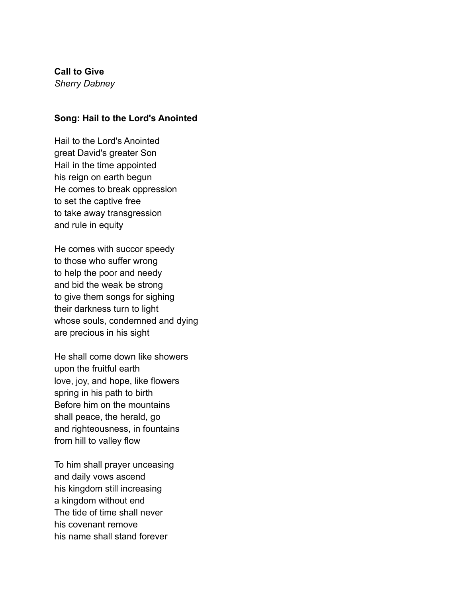# **Call to Give**

*Sherry Dabney*

#### **Song: Hail to the Lord's Anointed**

Hail to the Lord's Anointed great David's greater Son Hail in the time appointed his reign on earth begun He comes to break oppression to set the captive free to take away transgression and rule in equity

He comes with succor speedy to those who suffer wrong to help the poor and needy and bid the weak be strong to give them songs for sighing their darkness turn to light whose souls, condemned and dying are precious in his sight

He shall come down like showers upon the fruitful earth love, joy, and hope, like flowers spring in his path to birth Before him on the mountains shall peace, the herald, go and righteousness, in fountains from hill to valley flow

To him shall prayer unceasing and daily vows ascend his kingdom still increasing a kingdom without end The tide of time shall never his covenant remove his name shall stand forever